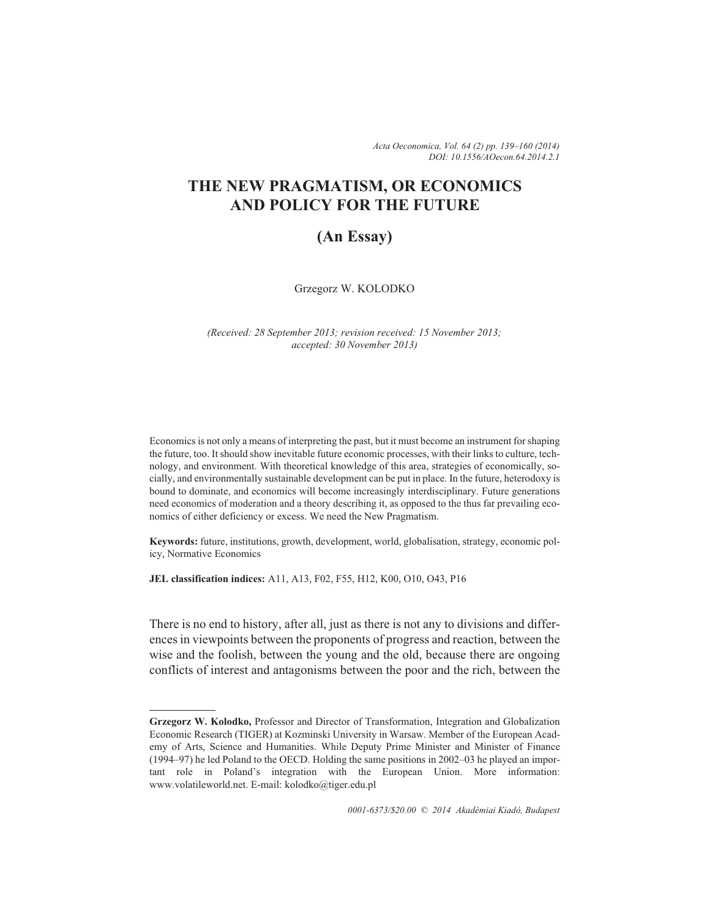*Acta Oeconomica, Vol. 64 (2) pp. 139–160 (2014) DOI: 10.1556/AOecon.64.2014.2.1*

# **THE NEW PRAGMATISM, OR ECONOMICS AND POLICY FOR THE FUTURE**

## **(An Essay)**

Grzegorz W. KOLODKO

*(Received: 28 September 2013; revision received: 15 November 2013; accepted: 30 November 2013)*

Economics is not only a means of interpreting the past, but it must become an instrument for shaping the future, too. It should show inevitable future economic processes, with their links to culture, technology, and environment. With theoretical knowledge of this area, strategies of economically, socially, and environmentally sustainable development can be put in place. In the future, heterodoxy is bound to dominate, and economics will become increasingly interdisciplinary. Future generations need economics of moderation and a theory describing it, as opposed to the thus far prevailing economics of either deficiency or excess. We need the New Pragmatism.

**Keywords:** future, institutions, growth, development, world, globalisation, strategy, economic policy, Normative Economics

**JEL classification indices:** A11, A13, F02, F55, H12, K00, O10, O43, P16

There is no end to history, after all, just as there is not any to divisions and differences in viewpoints between the proponents of progress and reaction, between the wise and the foolish, between the young and the old, because there are ongoing conflicts of interest and antagonisms between the poor and the rich, between the

**Grzegorz W. Kolodko,** Professor and Director of Transformation, Integration and Globalization Economic Research (TIGER) at Kozminski University in Warsaw. Member of the European Academy of Arts, Science and Humanities. While Deputy Prime Minister and Minister of Finance (1994–97) he led Poland to the OECD. Holding the same positions in 2002–03 he played an important role in Poland's integration with the European Union. More information: www.volatileworld.net. E-mail: kolodko@tiger.edu.pl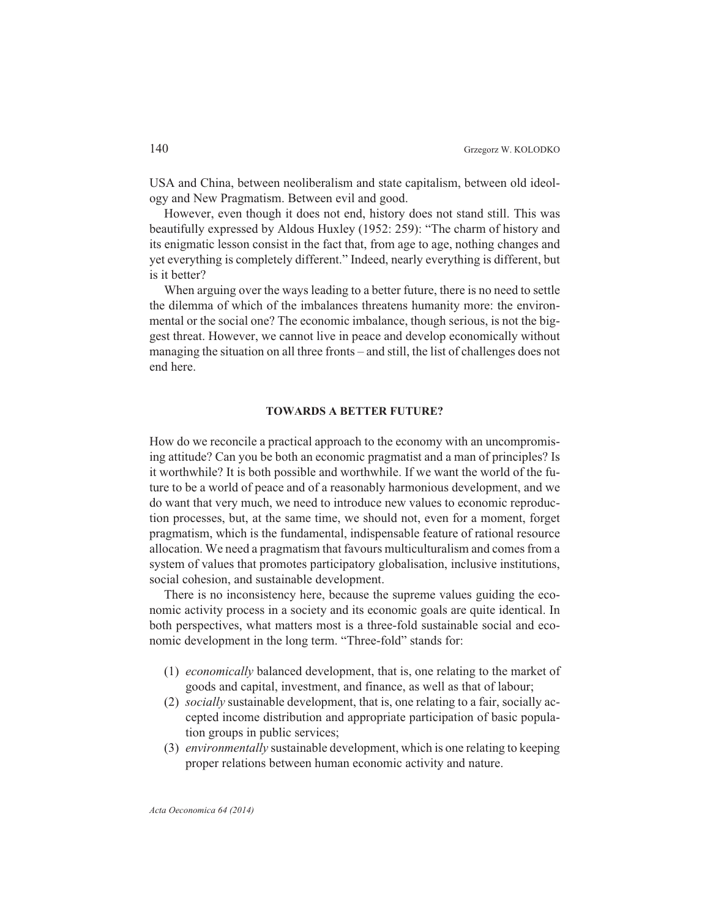USA and China, between neoliberalism and state capitalism, between old ideology and New Pragmatism. Between evil and good.

However, even though it does not end, history does not stand still. This was beautifully expressed by Aldous Huxley (1952: 259): "The charm of history and its enigmatic lesson consist in the fact that, from age to age, nothing changes and yet everything is completely different." Indeed, nearly everything is different, but is it better?

When arguing over the ways leading to a better future, there is no need to settle the dilemma of which of the imbalances threatens humanity more: the environmental or the social one? The economic imbalance, though serious, is not the biggest threat. However, we cannot live in peace and develop economically without managing the situation on all three fronts – and still, the list of challenges does not end here.

## **TOWARDS A BETTER FUTURE?**

How do we reconcile a practical approach to the economy with an uncompromising attitude? Can you be both an economic pragmatist and a man of principles? Is it worthwhile? It is both possible and worthwhile. If we want the world of the future to be a world of peace and of a reasonably harmonious development, and we do want that very much, we need to introduce new values to economic reproduction processes, but, at the same time, we should not, even for a moment, forget pragmatism, which is the fundamental, indispensable feature of rational resource allocation. We need a pragmatism that favours multiculturalism and comes from a system of values that promotes participatory globalisation, inclusive institutions, social cohesion, and sustainable development.

There is no inconsistency here, because the supreme values guiding the economic activity process in a society and its economic goals are quite identical. In both perspectives, what matters most is a three-fold sustainable social and economic development in the long term. "Three-fold" stands for:

- (1) *economically* balanced development, that is, one relating to the market of goods and capital, investment, and finance, as well as that of labour;
- (2) *socially* sustainable development, that is, one relating to a fair, socially accepted income distribution and appropriate participation of basic population groups in public services;
- (3) *environmentally* sustainable development, which is one relating to keeping proper relations between human economic activity and nature.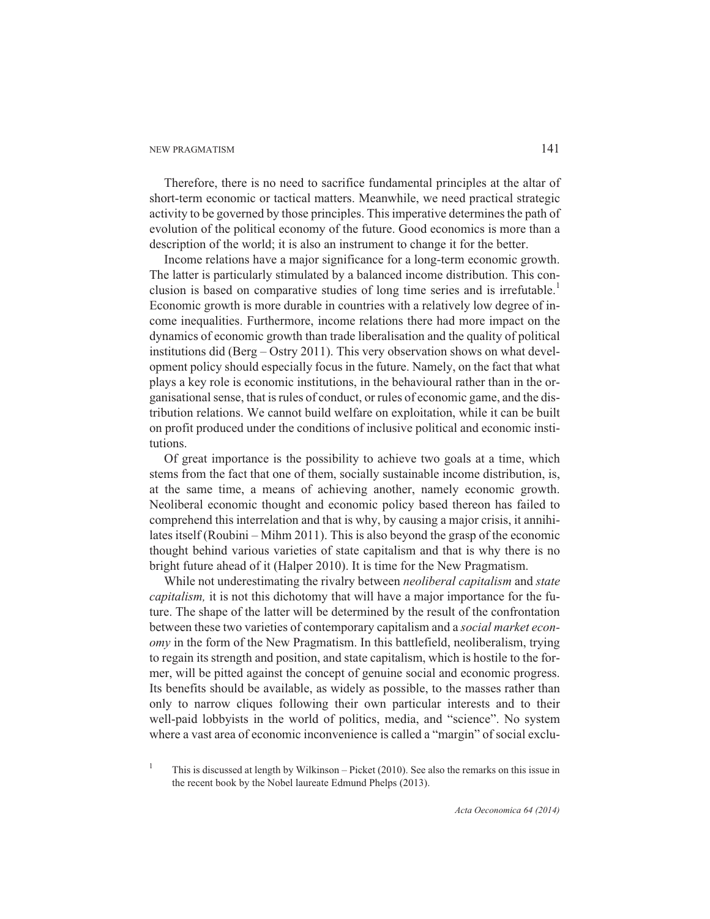Therefore, there is no need to sacrifice fundamental principles at the altar of short-term economic or tactical matters. Meanwhile, we need practical strategic activity to be governed by those principles. This imperative determines the path of evolution of the political economy of the future. Good economics is more than a description of the world; it is also an instrument to change it for the better.

Income relations have a major significance for a long-term economic growth. The latter is particularly stimulated by a balanced income distribution. This conclusion is based on comparative studies of long time series and is irrefutable.<sup>1</sup> Economic growth is more durable in countries with a relatively low degree of income inequalities. Furthermore, income relations there had more impact on the dynamics of economic growth than trade liberalisation and the quality of political institutions did (Berg – Ostry 2011). This very observation shows on what development policy should especially focus in the future. Namely, on the fact that what plays a key role is economic institutions, in the behavioural rather than in the organisational sense, that is rules of conduct, or rules of economic game, and the distribution relations. We cannot build welfare on exploitation, while it can be built on profit produced under the conditions of inclusive political and economic institutions.

Of great importance is the possibility to achieve two goals at a time, which stems from the fact that one of them, socially sustainable income distribution, is, at the same time, a means of achieving another, namely economic growth. Neoliberal economic thought and economic policy based thereon has failed to comprehend this interrelation and that is why, by causing a major crisis, it annihilates itself (Roubini – Mihm 2011). This is also beyond the grasp of the economic thought behind various varieties of state capitalism and that is why there is no bright future ahead of it (Halper 2010). It is time for the New Pragmatism.

While not underestimating the rivalry between *neoliberal capitalism* and *state capitalism,* it is not this dichotomy that will have a major importance for the future. The shape of the latter will be determined by the result of the confrontation between these two varieties of contemporary capitalism and a *social market economy* in the form of the New Pragmatism. In this battlefield, neoliberalism, trying to regain its strength and position, and state capitalism, which is hostile to the former, will be pitted against the concept of genuine social and economic progress. Its benefits should be available, as widely as possible, to the masses rather than only to narrow cliques following their own particular interests and to their well-paid lobbyists in the world of politics, media, and "science". No system where a vast area of economic inconvenience is called a "margin" of social exclu-

<sup>1</sup> This is discussed at length by Wilkinson – Picket (2010). See also the remarks on this issue in the recent book by the Nobel laureate Edmund Phelps (2013).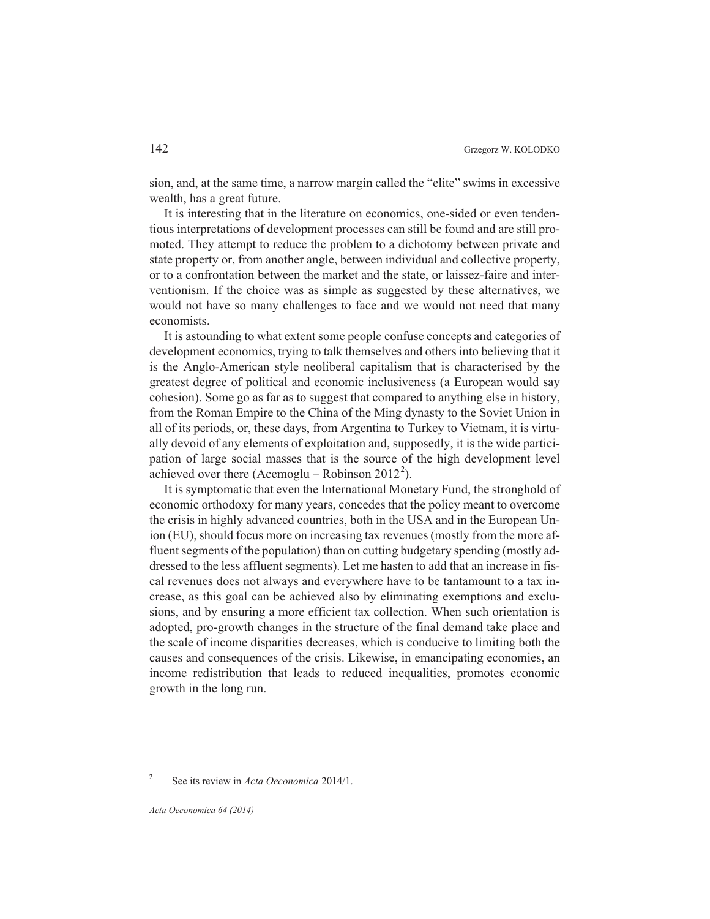sion, and, at the same time, a narrow margin called the "elite" swims in excessive wealth, has a great future.

It is interesting that in the literature on economics, one-sided or even tendentious interpretations of development processes can still be found and are still promoted. They attempt to reduce the problem to a dichotomy between private and state property or, from another angle, between individual and collective property, or to a confrontation between the market and the state, or laissez-faire and interventionism. If the choice was as simple as suggested by these alternatives, we would not have so many challenges to face and we would not need that many economists.

It is astounding to what extent some people confuse concepts and categories of development economics, trying to talk themselves and others into believing that it is the Anglo-American style neoliberal capitalism that is characterised by the greatest degree of political and economic inclusiveness (a European would say cohesion). Some go as far as to suggest that compared to anything else in history, from the Roman Empire to the China of the Ming dynasty to the Soviet Union in all of its periods, or, these days, from Argentina to Turkey to Vietnam, it is virtually devoid of any elements of exploitation and, supposedly, it is the wide participation of large social masses that is the source of the high development level achieved over there (Acemoglu – Robinson 2012<sup>2</sup>).

It is symptomatic that even the International Monetary Fund, the stronghold of economic orthodoxy for many years, concedes that the policy meant to overcome the crisis in highly advanced countries, both in the USA and in the European Union (EU), should focus more on increasing tax revenues (mostly from the more affluent segments of the population) than on cutting budgetary spending (mostly addressed to the less affluent segments). Let me hasten to add that an increase in fiscal revenues does not always and everywhere have to be tantamount to a tax increase, as this goal can be achieved also by eliminating exemptions and exclusions, and by ensuring a more efficient tax collection. When such orientation is adopted, pro-growth changes in the structure of the final demand take place and the scale of income disparities decreases, which is conducive to limiting both the causes and consequences of the crisis. Likewise, in emancipating economies, an income redistribution that leads to reduced inequalities, promotes economic growth in the long run.

<sup>2</sup> See its review in *Acta Oeconomica* 2014/1.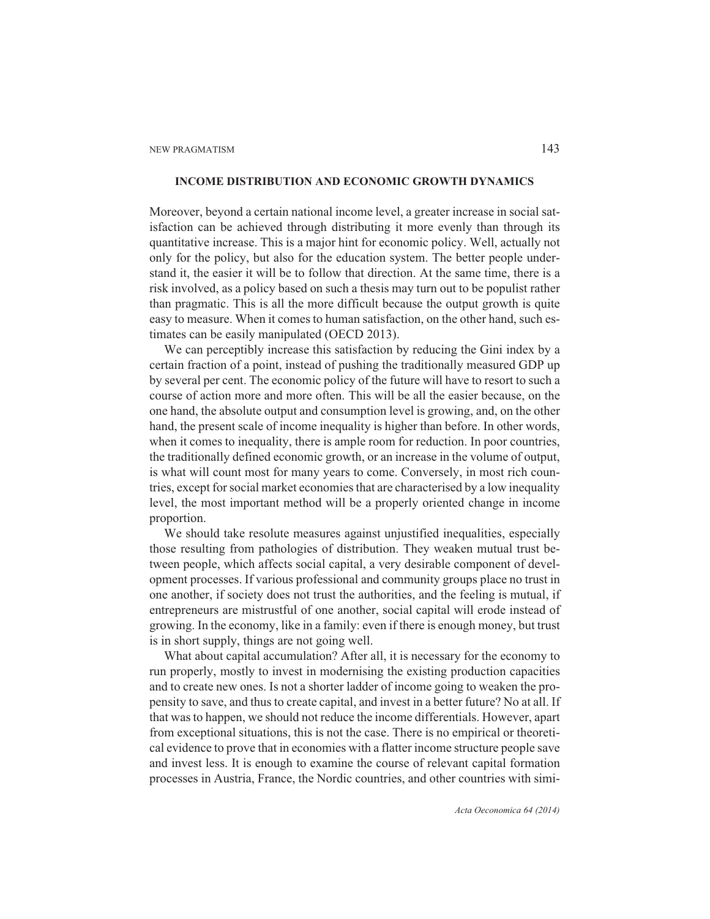#### **INCOME DISTRIBUTION AND ECONOMIC GROWTH DYNAMICS**

Moreover, beyond a certain national income level, a greater increase in social satisfaction can be achieved through distributing it more evenly than through its quantitative increase. This is a major hint for economic policy. Well, actually not only for the policy, but also for the education system. The better people understand it, the easier it will be to follow that direction. At the same time, there is a risk involved, as a policy based on such a thesis may turn out to be populist rather than pragmatic. This is all the more difficult because the output growth is quite easy to measure. When it comes to human satisfaction, on the other hand, such estimates can be easily manipulated (OECD 2013).

We can perceptibly increase this satisfaction by reducing the Gini index by a certain fraction of a point, instead of pushing the traditionally measured GDP up by several per cent. The economic policy of the future will have to resort to such a course of action more and more often. This will be all the easier because, on the one hand, the absolute output and consumption level is growing, and, on the other hand, the present scale of income inequality is higher than before. In other words, when it comes to inequality, there is ample room for reduction. In poor countries, the traditionally defined economic growth, or an increase in the volume of output, is what will count most for many years to come. Conversely, in most rich countries, except for social market economies that are characterised by a low inequality level, the most important method will be a properly oriented change in income proportion.

We should take resolute measures against unjustified inequalities, especially those resulting from pathologies of distribution. They weaken mutual trust between people, which affects social capital, a very desirable component of development processes. If various professional and community groups place no trust in one another, if society does not trust the authorities, and the feeling is mutual, if entrepreneurs are mistrustful of one another, social capital will erode instead of growing. In the economy, like in a family: even if there is enough money, but trust is in short supply, things are not going well.

What about capital accumulation? After all, it is necessary for the economy to run properly, mostly to invest in modernising the existing production capacities and to create new ones. Is not a shorter ladder of income going to weaken the propensity to save, and thus to create capital, and invest in a better future? No at all. If that was to happen, we should not reduce the income differentials. However, apart from exceptional situations, this is not the case. There is no empirical or theoretical evidence to prove that in economies with a flatter income structure people save and invest less. It is enough to examine the course of relevant capital formation processes in Austria, France, the Nordic countries, and other countries with simi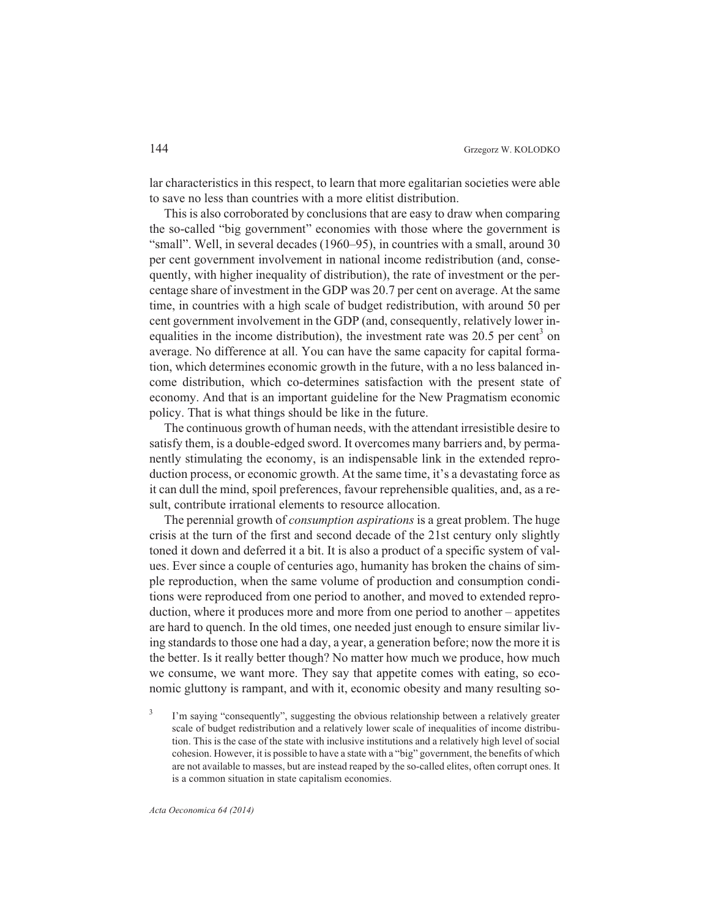lar characteristics in this respect, to learn that more egalitarian societies were able to save no less than countries with a more elitist distribution.

This is also corroborated by conclusions that are easy to draw when comparing the so-called "big government" economies with those where the government is "small". Well, in several decades (1960–95), in countries with a small, around 30 per cent government involvement in national income redistribution (and, consequently, with higher inequality of distribution), the rate of investment or the percentage share of investment in the GDP was 20.7 per cent on average. At the same time, in countries with a high scale of budget redistribution, with around 50 per cent government involvement in the GDP (and, consequently, relatively lower inequalities in the income distribution), the investment rate was  $20.5$  per cent<sup>3</sup> on average. No difference at all. You can have the same capacity for capital formation, which determines economic growth in the future, with a no less balanced income distribution, which co-determines satisfaction with the present state of economy. And that is an important guideline for the New Pragmatism economic policy. That is what things should be like in the future.

The continuous growth of human needs, with the attendant irresistible desire to satisfy them, is a double-edged sword. It overcomes many barriers and, by permanently stimulating the economy, is an indispensable link in the extended reproduction process, or economic growth. At the same time, it's a devastating force as it can dull the mind, spoil preferences, favour reprehensible qualities, and, as a result, contribute irrational elements to resource allocation.

The perennial growth of *consumption aspirations* is a great problem. The huge crisis at the turn of the first and second decade of the 21st century only slightly toned it down and deferred it a bit. It is also a product of a specific system of values. Ever since a couple of centuries ago, humanity has broken the chains of simple reproduction, when the same volume of production and consumption conditions were reproduced from one period to another, and moved to extended reproduction, where it produces more and more from one period to another – appetites are hard to quench. In the old times, one needed just enough to ensure similar living standards to those one had a day, a year, a generation before; now the more it is the better. Is it really better though? No matter how much we produce, how much we consume, we want more. They say that appetite comes with eating, so economic gluttony is rampant, and with it, economic obesity and many resulting so-

<sup>3</sup> I'm saying "consequently", suggesting the obvious relationship between a relatively greater scale of budget redistribution and a relatively lower scale of inequalities of income distribution. This is the case of the state with inclusive institutions and a relatively high level of social cohesion. However, it is possible to have a state with a "big" government, the benefits of which are not available to masses, but are instead reaped by the so-called elites, often corrupt ones. It is a common situation in state capitalism economies.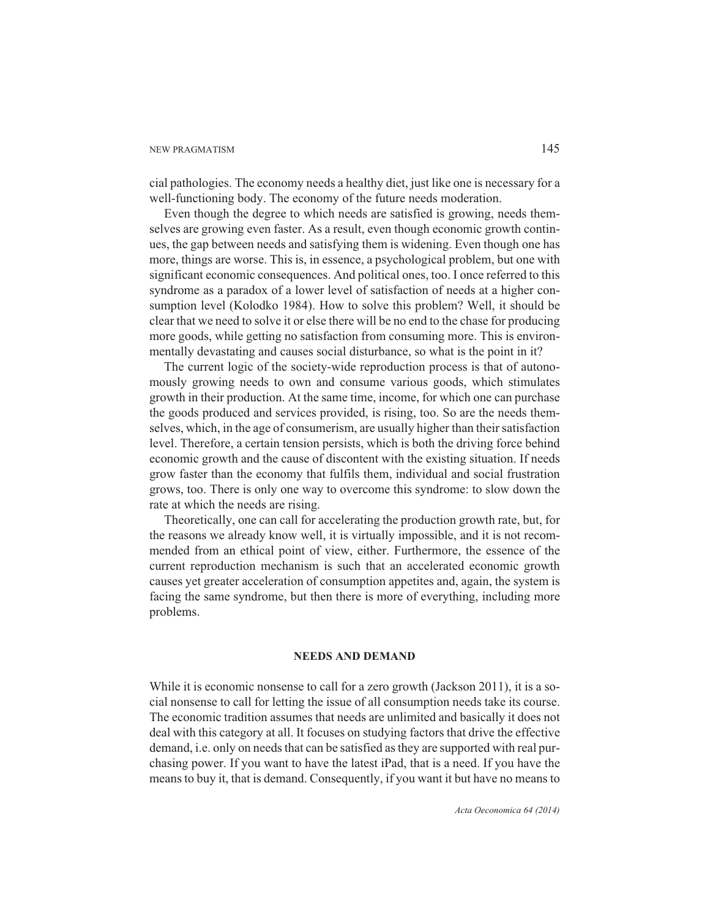cial pathologies. The economy needs a healthy diet, just like one is necessary for a well-functioning body. The economy of the future needs moderation.

Even though the degree to which needs are satisfied is growing, needs themselves are growing even faster. As a result, even though economic growth continues, the gap between needs and satisfying them is widening. Even though one has more, things are worse. This is, in essence, a psychological problem, but one with significant economic consequences. And political ones, too. I once referred to this syndrome as a paradox of a lower level of satisfaction of needs at a higher consumption level (Kolodko 1984). How to solve this problem? Well, it should be clear that we need to solve it or else there will be no end to the chase for producing more goods, while getting no satisfaction from consuming more. This is environmentally devastating and causes social disturbance, so what is the point in it?

The current logic of the society-wide reproduction process is that of autonomously growing needs to own and consume various goods, which stimulates growth in their production. At the same time, income, for which one can purchase the goods produced and services provided, is rising, too. So are the needs themselves, which, in the age of consumerism, are usually higher than their satisfaction level. Therefore, a certain tension persists, which is both the driving force behind economic growth and the cause of discontent with the existing situation. If needs grow faster than the economy that fulfils them, individual and social frustration grows, too. There is only one way to overcome this syndrome: to slow down the rate at which the needs are rising.

Theoretically, one can call for accelerating the production growth rate, but, for the reasons we already know well, it is virtually impossible, and it is not recommended from an ethical point of view, either. Furthermore, the essence of the current reproduction mechanism is such that an accelerated economic growth causes yet greater acceleration of consumption appetites and, again, the system is facing the same syndrome, but then there is more of everything, including more problems.

## **NEEDS AND DEMAND**

While it is economic nonsense to call for a zero growth (Jackson 2011), it is a social nonsense to call for letting the issue of all consumption needs take its course. The economic tradition assumes that needs are unlimited and basically it does not deal with this category at all. It focuses on studying factors that drive the effective demand, i.e. only on needs that can be satisfied as they are supported with real purchasing power. If you want to have the latest iPad, that is a need. If you have the means to buy it, that is demand. Consequently, if you want it but have no means to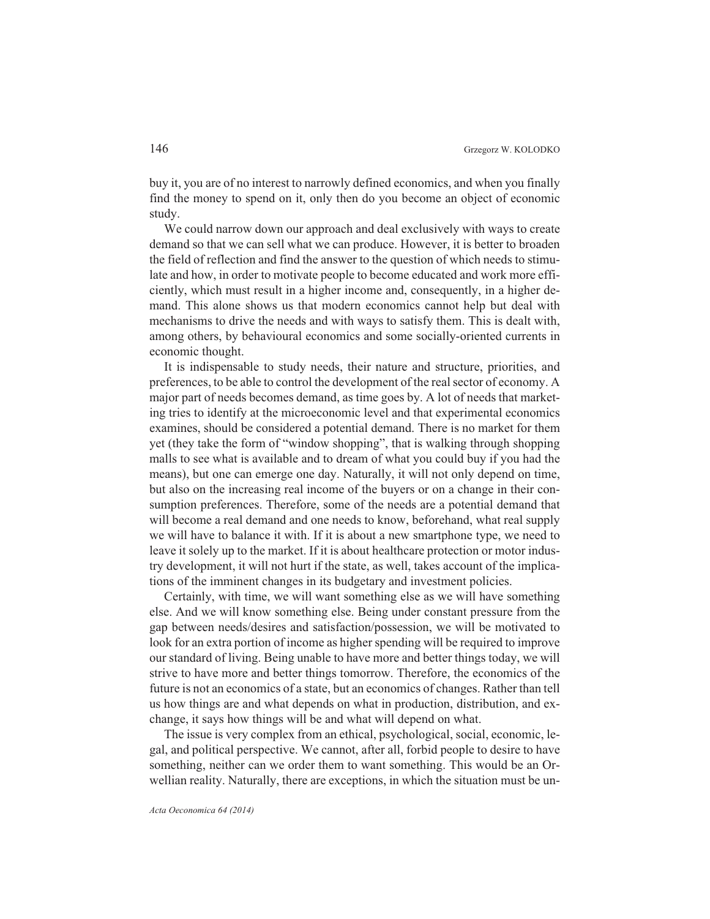buy it, you are of no interest to narrowly defined economics, and when you finally find the money to spend on it, only then do you become an object of economic study.

We could narrow down our approach and deal exclusively with ways to create demand so that we can sell what we can produce. However, it is better to broaden the field of reflection and find the answer to the question of which needs to stimulate and how, in order to motivate people to become educated and work more efficiently, which must result in a higher income and, consequently, in a higher demand. This alone shows us that modern economics cannot help but deal with mechanisms to drive the needs and with ways to satisfy them. This is dealt with, among others, by behavioural economics and some socially-oriented currents in economic thought.

It is indispensable to study needs, their nature and structure, priorities, and preferences, to be able to control the development of the real sector of economy. A major part of needs becomes demand, as time goes by. A lot of needs that marketing tries to identify at the microeconomic level and that experimental economics examines, should be considered a potential demand. There is no market for them yet (they take the form of "window shopping", that is walking through shopping malls to see what is available and to dream of what you could buy if you had the means), but one can emerge one day. Naturally, it will not only depend on time, but also on the increasing real income of the buyers or on a change in their consumption preferences. Therefore, some of the needs are a potential demand that will become a real demand and one needs to know, beforehand, what real supply we will have to balance it with. If it is about a new smartphone type, we need to leave it solely up to the market. If it is about healthcare protection or motor industry development, it will not hurt if the state, as well, takes account of the implications of the imminent changes in its budgetary and investment policies.

Certainly, with time, we will want something else as we will have something else. And we will know something else. Being under constant pressure from the gap between needs/desires and satisfaction/possession, we will be motivated to look for an extra portion of income as higher spending will be required to improve our standard of living. Being unable to have more and better things today, we will strive to have more and better things tomorrow. Therefore, the economics of the future is not an economics of a state, but an economics of changes. Rather than tell us how things are and what depends on what in production, distribution, and exchange, it says how things will be and what will depend on what.

The issue is very complex from an ethical, psychological, social, economic, legal, and political perspective. We cannot, after all, forbid people to desire to have something, neither can we order them to want something. This would be an Orwellian reality. Naturally, there are exceptions, in which the situation must be un-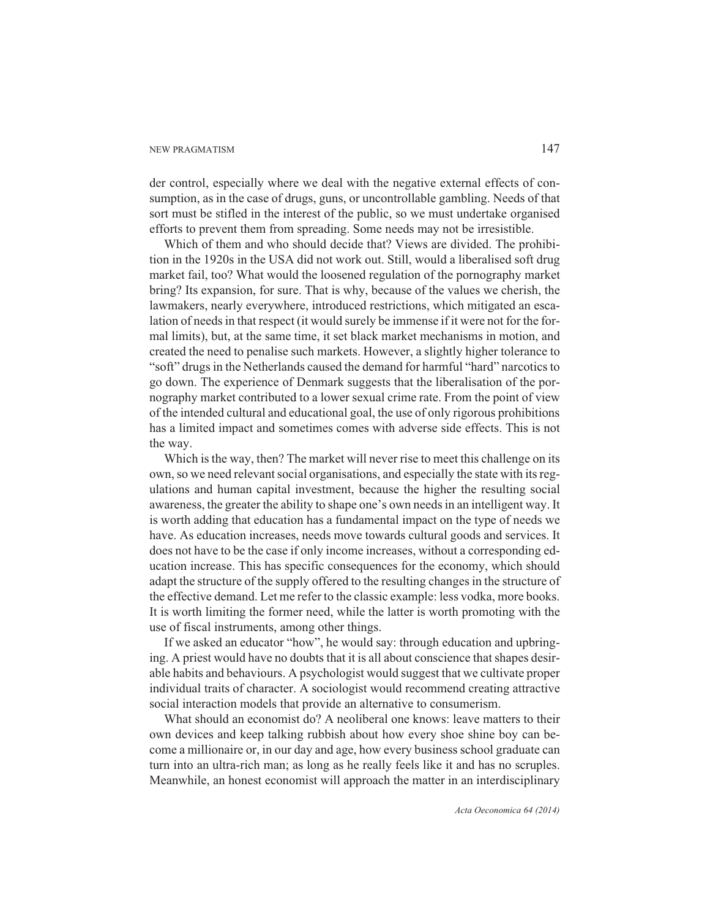der control, especially where we deal with the negative external effects of consumption, as in the case of drugs, guns, or uncontrollable gambling. Needs of that sort must be stifled in the interest of the public, so we must undertake organised efforts to prevent them from spreading. Some needs may not be irresistible.

Which of them and who should decide that? Views are divided. The prohibition in the 1920s in the USA did not work out. Still, would a liberalised soft drug market fail, too? What would the loosened regulation of the pornography market bring? Its expansion, for sure. That is why, because of the values we cherish, the lawmakers, nearly everywhere, introduced restrictions, which mitigated an escalation of needs in that respect (it would surely be immense if it were not for the formal limits), but, at the same time, it set black market mechanisms in motion, and created the need to penalise such markets. However, a slightly higher tolerance to "soft" drugs in the Netherlands caused the demand for harmful "hard" narcotics to go down. The experience of Denmark suggests that the liberalisation of the pornography market contributed to a lower sexual crime rate. From the point of view of the intended cultural and educational goal, the use of only rigorous prohibitions has a limited impact and sometimes comes with adverse side effects. This is not the way.

Which is the way, then? The market will never rise to meet this challenge on its own, so we need relevant social organisations, and especially the state with its regulations and human capital investment, because the higher the resulting social awareness, the greater the ability to shape one's own needs in an intelligent way. It is worth adding that education has a fundamental impact on the type of needs we have. As education increases, needs move towards cultural goods and services. It does not have to be the case if only income increases, without a corresponding education increase. This has specific consequences for the economy, which should adapt the structure of the supply offered to the resulting changes in the structure of the effective demand. Let me refer to the classic example: less vodka, more books. It is worth limiting the former need, while the latter is worth promoting with the use of fiscal instruments, among other things.

If we asked an educator "how", he would say: through education and upbringing. A priest would have no doubts that it is all about conscience that shapes desirable habits and behaviours. A psychologist would suggest that we cultivate proper individual traits of character. A sociologist would recommend creating attractive social interaction models that provide an alternative to consumerism.

What should an economist do? A neoliberal one knows: leave matters to their own devices and keep talking rubbish about how every shoe shine boy can become a millionaire or, in our day and age, how every business school graduate can turn into an ultra-rich man; as long as he really feels like it and has no scruples. Meanwhile, an honest economist will approach the matter in an interdisciplinary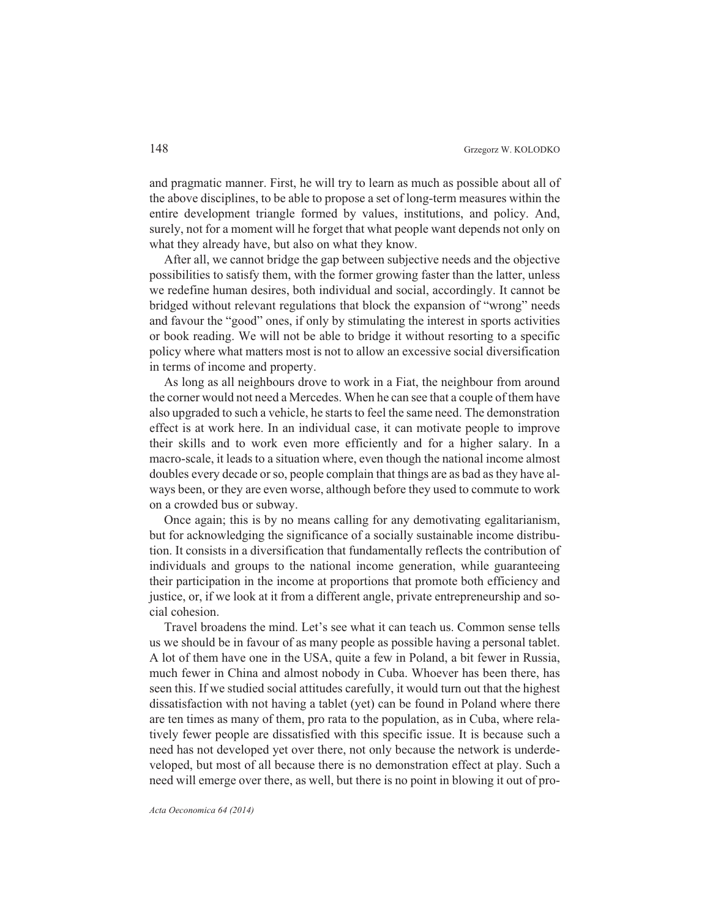and pragmatic manner. First, he will try to learn as much as possible about all of the above disciplines, to be able to propose a set of long-term measures within the entire development triangle formed by values, institutions, and policy. And, surely, not for a moment will he forget that what people want depends not only on what they already have, but also on what they know.

After all, we cannot bridge the gap between subjective needs and the objective possibilities to satisfy them, with the former growing faster than the latter, unless we redefine human desires, both individual and social, accordingly. It cannot be bridged without relevant regulations that block the expansion of "wrong" needs and favour the "good" ones, if only by stimulating the interest in sports activities or book reading. We will not be able to bridge it without resorting to a specific policy where what matters most is not to allow an excessive social diversification in terms of income and property.

As long as all neighbours drove to work in a Fiat, the neighbour from around the corner would not need a Mercedes. When he can see that a couple of them have also upgraded to such a vehicle, he starts to feel the same need. The demonstration effect is at work here. In an individual case, it can motivate people to improve their skills and to work even more efficiently and for a higher salary. In a macro-scale, it leads to a situation where, even though the national income almost doubles every decade or so, people complain that things are as bad as they have always been, or they are even worse, although before they used to commute to work on a crowded bus or subway.

Once again; this is by no means calling for any demotivating egalitarianism, but for acknowledging the significance of a socially sustainable income distribution. It consists in a diversification that fundamentally reflects the contribution of individuals and groups to the national income generation, while guaranteeing their participation in the income at proportions that promote both efficiency and justice, or, if we look at it from a different angle, private entrepreneurship and social cohesion.

Travel broadens the mind. Let's see what it can teach us. Common sense tells us we should be in favour of as many people as possible having a personal tablet. A lot of them have one in the USA, quite a few in Poland, a bit fewer in Russia, much fewer in China and almost nobody in Cuba. Whoever has been there, has seen this. If we studied social attitudes carefully, it would turn out that the highest dissatisfaction with not having a tablet (yet) can be found in Poland where there are ten times as many of them, pro rata to the population, as in Cuba, where relatively fewer people are dissatisfied with this specific issue. It is because such a need has not developed yet over there, not only because the network is underdeveloped, but most of all because there is no demonstration effect at play. Such a need will emerge over there, as well, but there is no point in blowing it out of pro-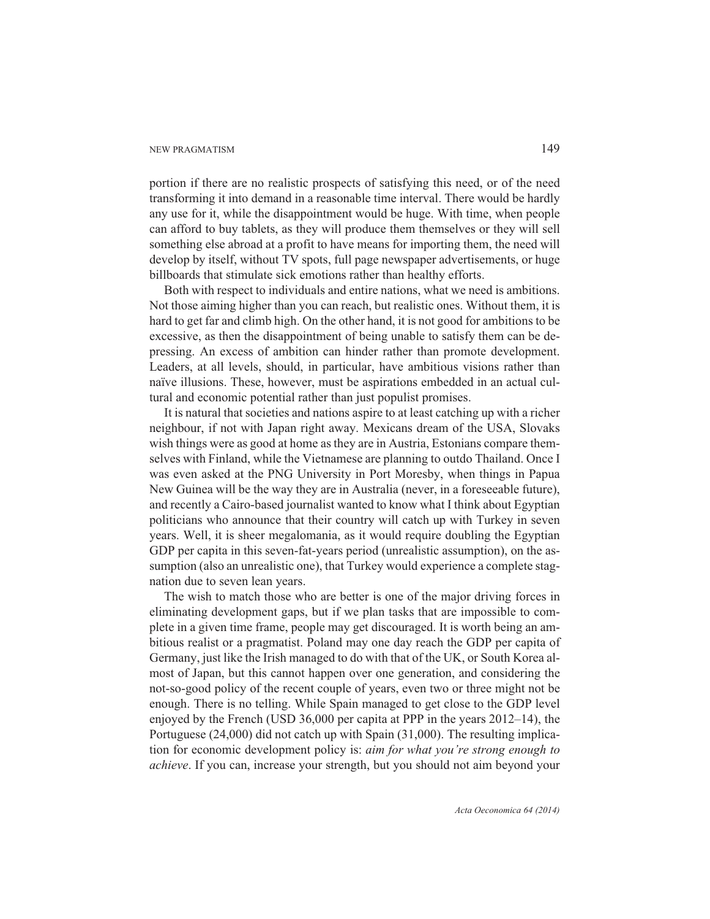portion if there are no realistic prospects of satisfying this need, or of the need transforming it into demand in a reasonable time interval. There would be hardly any use for it, while the disappointment would be huge. With time, when people can afford to buy tablets, as they will produce them themselves or they will sell something else abroad at a profit to have means for importing them, the need will develop by itself, without TV spots, full page newspaper advertisements, or huge billboards that stimulate sick emotions rather than healthy efforts.

Both with respect to individuals and entire nations, what we need is ambitions. Not those aiming higher than you can reach, but realistic ones. Without them, it is hard to get far and climb high. On the other hand, it is not good for ambitions to be excessive, as then the disappointment of being unable to satisfy them can be depressing. An excess of ambition can hinder rather than promote development. Leaders, at all levels, should, in particular, have ambitious visions rather than naïve illusions. These, however, must be aspirations embedded in an actual cultural and economic potential rather than just populist promises.

It is natural that societies and nations aspire to at least catching up with a richer neighbour, if not with Japan right away. Mexicans dream of the USA, Slovaks wish things were as good at home as they are in Austria, Estonians compare themselves with Finland, while the Vietnamese are planning to outdo Thailand. Once I was even asked at the PNG University in Port Moresby, when things in Papua New Guinea will be the way they are in Australia (never, in a foreseeable future), and recently a Cairo-based journalist wanted to know what I think about Egyptian politicians who announce that their country will catch up with Turkey in seven years. Well, it is sheer megalomania, as it would require doubling the Egyptian GDP per capita in this seven-fat-years period (unrealistic assumption), on the assumption (also an unrealistic one), that Turkey would experience a complete stagnation due to seven lean years.

The wish to match those who are better is one of the major driving forces in eliminating development gaps, but if we plan tasks that are impossible to complete in a given time frame, people may get discouraged. It is worth being an ambitious realist or a pragmatist. Poland may one day reach the GDP per capita of Germany, just like the Irish managed to do with that of the UK, or South Korea almost of Japan, but this cannot happen over one generation, and considering the not-so-good policy of the recent couple of years, even two or three might not be enough. There is no telling. While Spain managed to get close to the GDP level enjoyed by the French (USD 36,000 per capita at PPP in the years 2012–14), the Portuguese (24,000) did not catch up with Spain (31,000). The resulting implication for economic development policy is: *aim for what you're strong enough to achieve*. If you can, increase your strength, but you should not aim beyond your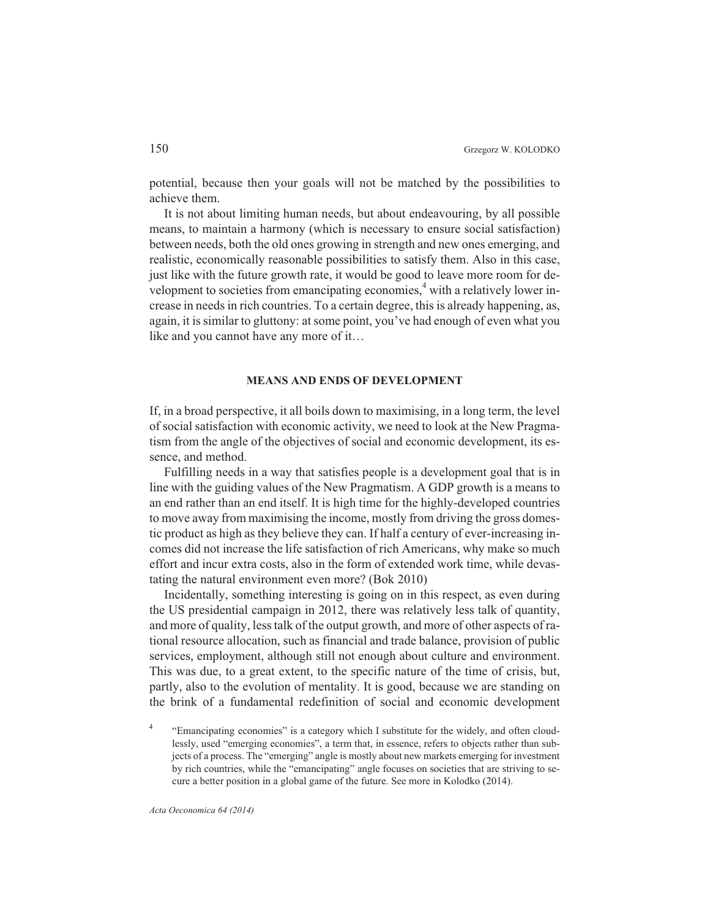potential, because then your goals will not be matched by the possibilities to achieve them.

It is not about limiting human needs, but about endeavouring, by all possible means, to maintain a harmony (which is necessary to ensure social satisfaction) between needs, both the old ones growing in strength and new ones emerging, and realistic, economically reasonable possibilities to satisfy them. Also in this case, just like with the future growth rate, it would be good to leave more room for development to societies from emancipating economies,<sup>4</sup> with a relatively lower increase in needs in rich countries. To a certain degree, this is already happening, as, again, it is similar to gluttony: at some point, you've had enough of even what you like and you cannot have any more of it…

#### **MEANS AND ENDS OF DEVELOPMENT**

If, in a broad perspective, it all boils down to maximising, in a long term, the level of social satisfaction with economic activity, we need to look at the New Pragmatism from the angle of the objectives of social and economic development, its essence, and method.

Fulfilling needs in a way that satisfies people is a development goal that is in line with the guiding values of the New Pragmatism. A GDP growth is a means to an end rather than an end itself. It is high time for the highly-developed countries to move away from maximising the income, mostly from driving the gross domestic product as high as they believe they can. If half a century of ever-increasing incomes did not increase the life satisfaction of rich Americans, why make so much effort and incur extra costs, also in the form of extended work time, while devastating the natural environment even more? (Bok 2010)

Incidentally, something interesting is going on in this respect, as even during the US presidential campaign in 2012, there was relatively less talk of quantity, and more of quality, less talk of the output growth, and more of other aspects of rational resource allocation, such as financial and trade balance, provision of public services, employment, although still not enough about culture and environment. This was due, to a great extent, to the specific nature of the time of crisis, but, partly, also to the evolution of mentality. It is good, because we are standing on the brink of a fundamental redefinition of social and economic development

<sup>4</sup> "Emancipating economies" is a category which I substitute for the widely, and often cloudlessly, used "emerging economies", a term that, in essence, refers to objects rather than subjects of a process. The "emerging" angle is mostly about new markets emerging for investment by rich countries, while the "emancipating" angle focuses on societies that are striving to secure a better position in a global game of the future. See more in Kolodko (2014).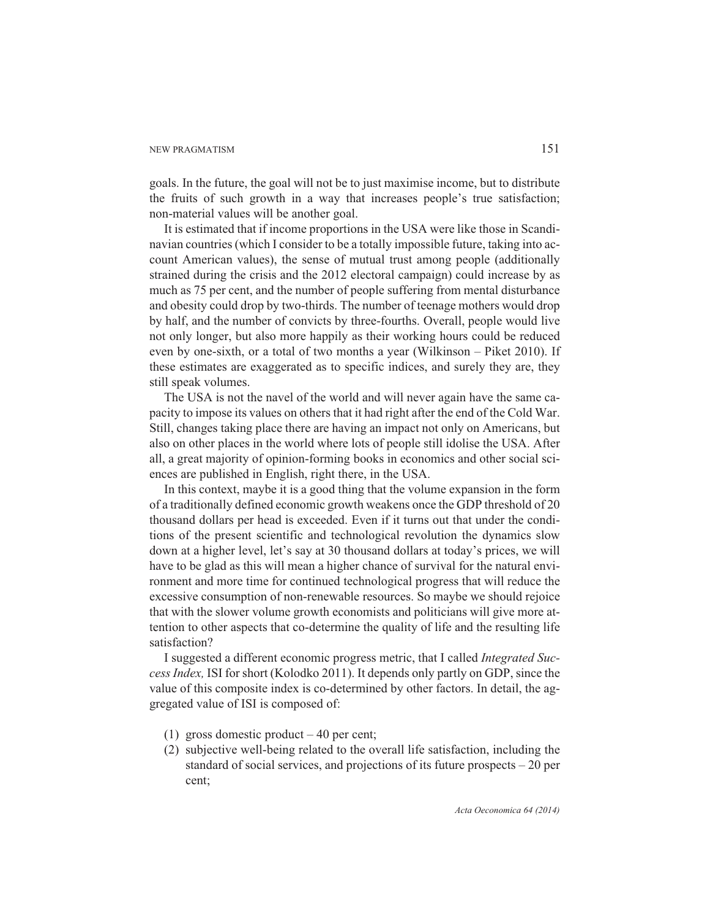goals. In the future, the goal will not be to just maximise income, but to distribute the fruits of such growth in a way that increases people's true satisfaction; non-material values will be another goal.

It is estimated that if income proportions in the USA were like those in Scandinavian countries (which I consider to be a totally impossible future, taking into account American values), the sense of mutual trust among people (additionally strained during the crisis and the 2012 electoral campaign) could increase by as much as 75 per cent, and the number of people suffering from mental disturbance and obesity could drop by two-thirds. The number of teenage mothers would drop by half, and the number of convicts by three-fourths. Overall, people would live not only longer, but also more happily as their working hours could be reduced even by one-sixth, or a total of two months a year (Wilkinson – Piket 2010). If these estimates are exaggerated as to specific indices, and surely they are, they still speak volumes.

The USA is not the navel of the world and will never again have the same capacity to impose its values on others that it had right after the end of the Cold War. Still, changes taking place there are having an impact not only on Americans, but also on other places in the world where lots of people still idolise the USA. After all, a great majority of opinion-forming books in economics and other social sciences are published in English, right there, in the USA.

In this context, maybe it is a good thing that the volume expansion in the form of a traditionally defined economic growth weakens once the GDP threshold of 20 thousand dollars per head is exceeded. Even if it turns out that under the conditions of the present scientific and technological revolution the dynamics slow down at a higher level, let's say at 30 thousand dollars at today's prices, we will have to be glad as this will mean a higher chance of survival for the natural environment and more time for continued technological progress that will reduce the excessive consumption of non-renewable resources. So maybe we should rejoice that with the slower volume growth economists and politicians will give more attention to other aspects that co-determine the quality of life and the resulting life satisfaction?

I suggested a different economic progress metric, that I called *Integrated Success Index,* ISI for short (Kolodko 2011). It depends only partly on GDP, since the value of this composite index is co-determined by other factors. In detail, the aggregated value of ISI is composed of:

- (1) gross domestic product 40 per cent;
- (2) subjective well-being related to the overall life satisfaction, including the standard of social services, and projections of its future prospects – 20 per cent;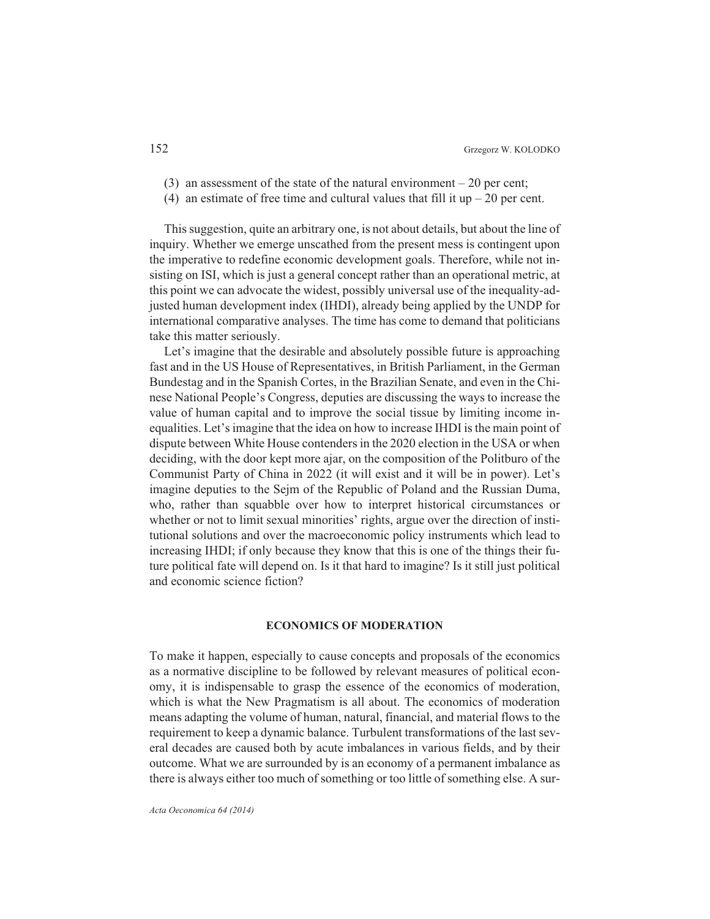- (3) an assessment of the state of the natural environment  $-20$  per cent;
- (4) an estimate of free time and cultural values that fill it up  $-20$  per cent.

This suggestion, quite an arbitrary one, is not about details, but about the line of inquiry. Whether we emerge unscathed from the present mess is contingent upon the imperative to redefine economic development goals. Therefore, while not insisting on ISI, which is just a general concept rather than an operational metric, at this point we can advocate the widest, possibly universal use of the inequality-adjusted human development index (IHDI), already being applied by the UNDP for international comparative analyses. The time has come to demand that politicians take this matter seriously.

Let's imagine that the desirable and absolutely possible future is approaching fast and in the US House of Representatives, in British Parliament, in the German Bundestag and in the Spanish Cortes, in the Brazilian Senate, and even in the Chinese National People's Congress, deputies are discussing the ways to increase the value of human capital and to improve the social tissue by limiting income inequalities. Let's imagine that the idea on how to increase IHDI is the main point of dispute between White House contenders in the 2020 election in the USA or when deciding, with the door kept more ajar, on the composition of the Politburo of the Communist Party of China in 2022 (it will exist and it will be in power). Let's imagine deputies to the Sejm of the Republic of Poland and the Russian Duma, who, rather than squabble over how to interpret historical circumstances or whether or not to limit sexual minorities' rights, argue over the direction of institutional solutions and over the macroeconomic policy instruments which lead to increasing IHDI; if only because they know that this is one of the things their future political fate will depend on. Is it that hard to imagine? Is it still just political and economic science fiction?

## **ECONOMICS OF MODERATION**

To make it happen, especially to cause concepts and proposals of the economics as a normative discipline to be followed by relevant measures of political economy, it is indispensable to grasp the essence of the economics of moderation, which is what the New Pragmatism is all about. The economics of moderation means adapting the volume of human, natural, financial, and material flows to the requirement to keep a dynamic balance. Turbulent transformations of the last several decades are caused both by acute imbalances in various fields, and by their outcome. What we are surrounded by is an economy of a permanent imbalance as there is always either too much of something or too little of something else. A sur-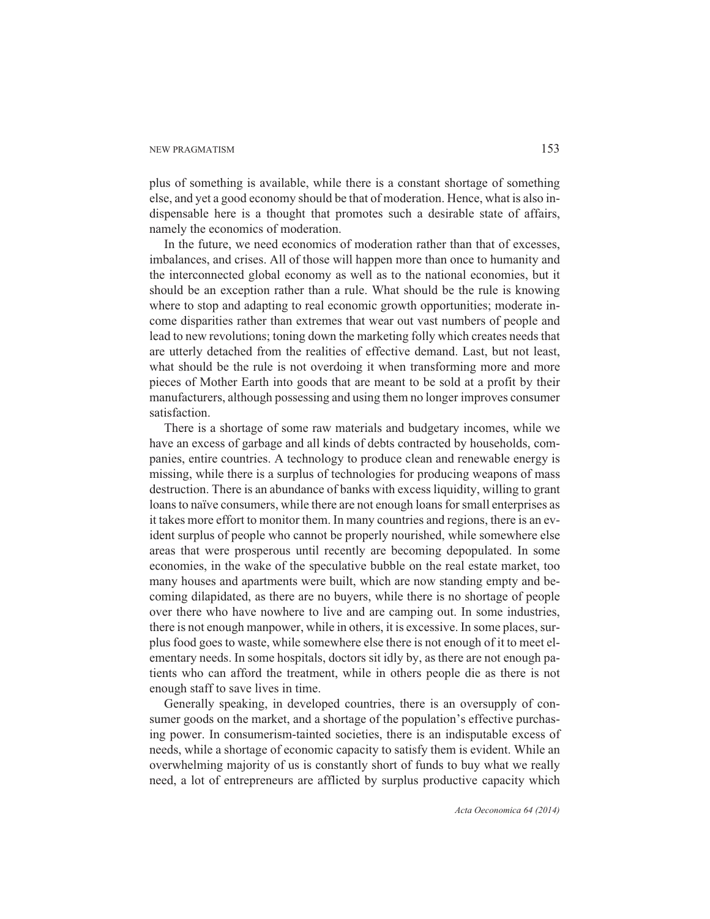plus of something is available, while there is a constant shortage of something else, and yet a good economy should be that of moderation. Hence, what is also indispensable here is a thought that promotes such a desirable state of affairs, namely the economics of moderation.

In the future, we need economics of moderation rather than that of excesses, imbalances, and crises. All of those will happen more than once to humanity and the interconnected global economy as well as to the national economies, but it should be an exception rather than a rule. What should be the rule is knowing where to stop and adapting to real economic growth opportunities; moderate income disparities rather than extremes that wear out vast numbers of people and lead to new revolutions; toning down the marketing folly which creates needs that are utterly detached from the realities of effective demand. Last, but not least, what should be the rule is not overdoing it when transforming more and more pieces of Mother Earth into goods that are meant to be sold at a profit by their manufacturers, although possessing and using them no longer improves consumer satisfaction.

There is a shortage of some raw materials and budgetary incomes, while we have an excess of garbage and all kinds of debts contracted by households, companies, entire countries. A technology to produce clean and renewable energy is missing, while there is a surplus of technologies for producing weapons of mass destruction. There is an abundance of banks with excess liquidity, willing to grant loans to naïve consumers, while there are not enough loans for small enterprises as it takes more effort to monitor them. In many countries and regions, there is an evident surplus of people who cannot be properly nourished, while somewhere else areas that were prosperous until recently are becoming depopulated. In some economies, in the wake of the speculative bubble on the real estate market, too many houses and apartments were built, which are now standing empty and becoming dilapidated, as there are no buyers, while there is no shortage of people over there who have nowhere to live and are camping out. In some industries, there is not enough manpower, while in others, it is excessive. In some places, surplus food goes to waste, while somewhere else there is not enough of it to meet elementary needs. In some hospitals, doctors sit idly by, as there are not enough patients who can afford the treatment, while in others people die as there is not enough staff to save lives in time.

Generally speaking, in developed countries, there is an oversupply of consumer goods on the market, and a shortage of the population's effective purchasing power. In consumerism-tainted societies, there is an indisputable excess of needs, while a shortage of economic capacity to satisfy them is evident. While an overwhelming majority of us is constantly short of funds to buy what we really need, a lot of entrepreneurs are afflicted by surplus productive capacity which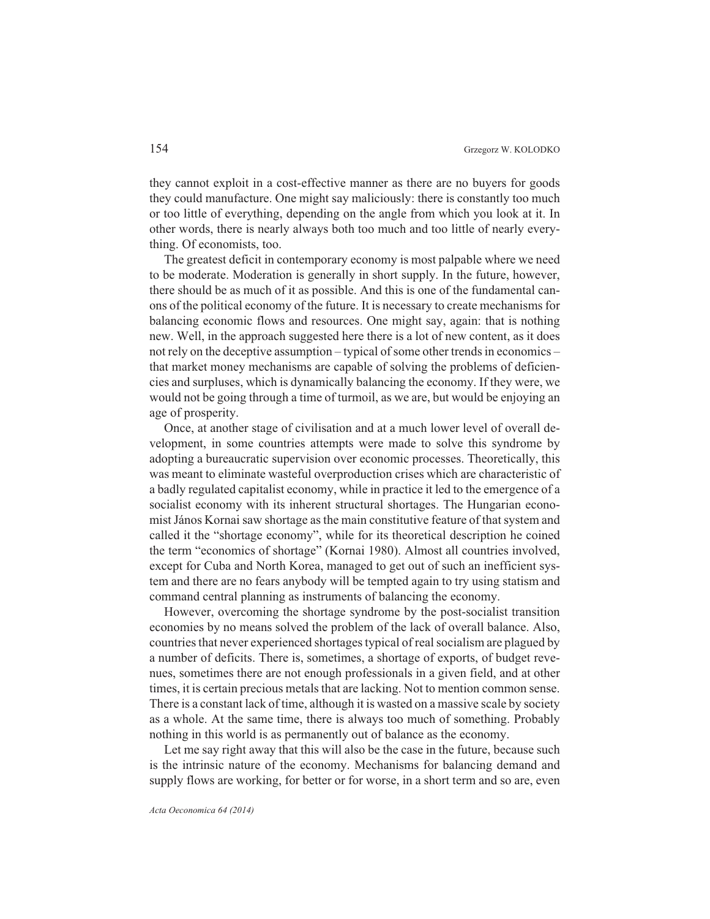they cannot exploit in a cost-effective manner as there are no buyers for goods they could manufacture. One might say maliciously: there is constantly too much or too little of everything, depending on the angle from which you look at it. In other words, there is nearly always both too much and too little of nearly everything. Of economists, too.

The greatest deficit in contemporary economy is most palpable where we need to be moderate. Moderation is generally in short supply. In the future, however, there should be as much of it as possible. And this is one of the fundamental canons of the political economy of the future. It is necessary to create mechanisms for balancing economic flows and resources. One might say, again: that is nothing new. Well, in the approach suggested here there is a lot of new content, as it does not rely on the deceptive assumption – typical of some other trends in economics – that market money mechanisms are capable of solving the problems of deficiencies and surpluses, which is dynamically balancing the economy. If they were, we would not be going through a time of turmoil, as we are, but would be enjoying an age of prosperity.

Once, at another stage of civilisation and at a much lower level of overall development, in some countries attempts were made to solve this syndrome by adopting a bureaucratic supervision over economic processes. Theoretically, this was meant to eliminate wasteful overproduction crises which are characteristic of a badly regulated capitalist economy, while in practice it led to the emergence of a socialist economy with its inherent structural shortages. The Hungarian economist János Kornai saw shortage as the main constitutive feature of that system and called it the "shortage economy", while for its theoretical description he coined the term "economics of shortage" (Kornai 1980). Almost all countries involved, except for Cuba and North Korea, managed to get out of such an inefficient system and there are no fears anybody will be tempted again to try using statism and command central planning as instruments of balancing the economy.

However, overcoming the shortage syndrome by the post-socialist transition economies by no means solved the problem of the lack of overall balance. Also, countries that never experienced shortages typical of real socialism are plagued by a number of deficits. There is, sometimes, a shortage of exports, of budget revenues, sometimes there are not enough professionals in a given field, and at other times, it is certain precious metals that are lacking. Not to mention common sense. There is a constant lack of time, although it is wasted on a massive scale by society as a whole. At the same time, there is always too much of something. Probably nothing in this world is as permanently out of balance as the economy.

Let me say right away that this will also be the case in the future, because such is the intrinsic nature of the economy. Mechanisms for balancing demand and supply flows are working, for better or for worse, in a short term and so are, even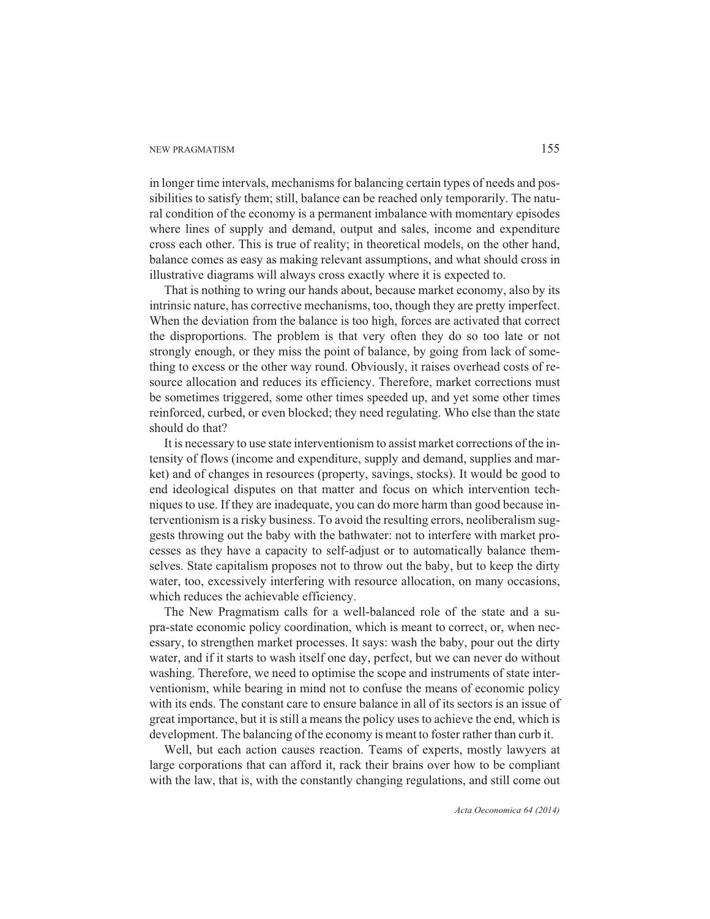in longer time intervals, mechanisms for balancing certain types of needs and possibilities to satisfy them; still, balance can be reached only temporarily. The natural condition of the economy is a permanent imbalance with momentary episodes where lines of supply and demand, output and sales, income and expenditure cross each other. This is true of reality; in theoretical models, on the other hand, balance comes as easy as making relevant assumptions, and what should cross in illustrative diagrams will always cross exactly where it is expected to.

That is nothing to wring our hands about, because market economy, also by its intrinsic nature, has corrective mechanisms, too, though they are pretty imperfect. When the deviation from the balance is too high, forces are activated that correct the disproportions. The problem is that very often they do so too late or not strongly enough, or they miss the point of balance, by going from lack of something to excess or the other way round. Obviously, it raises overhead costs of resource allocation and reduces its efficiency. Therefore, market corrections must be sometimes triggered, some other times speeded up, and yet some other times reinforced, curbed, or even blocked; they need regulating. Who else than the state should do that?

It is necessary to use state interventionism to assist market corrections of the intensity of flows (income and expenditure, supply and demand, supplies and market) and of changes in resources (property, savings, stocks). It would be good to end ideological disputes on that matter and focus on which intervention techniques to use. If they are inadequate, you can do more harm than good because interventionism is a risky business. To avoid the resulting errors, neoliberalism suggests throwing out the baby with the bathwater: not to interfere with market processes as they have a capacity to self-adjust or to automatically balance themselves. State capitalism proposes not to throw out the baby, but to keep the dirty water, too, excessively interfering with resource allocation, on many occasions, which reduces the achievable efficiency.

The New Pragmatism calls for a well-balanced role of the state and a supra-state economic policy coordination, which is meant to correct, or, when necessary, to strengthen market processes. It says: wash the baby, pour out the dirty water, and if it starts to wash itself one day, perfect, but we can never do without washing. Therefore, we need to optimise the scope and instruments of state interventionism, while bearing in mind not to confuse the means of economic policy with its ends. The constant care to ensure balance in all of its sectors is an issue of great importance, but it is still a means the policy uses to achieve the end, which is development. The balancing of the economy is meant to foster rather than curb it.

Well, but each action causes reaction. Teams of experts, mostly lawyers at large corporations that can afford it, rack their brains over how to be compliant with the law, that is, with the constantly changing regulations, and still come out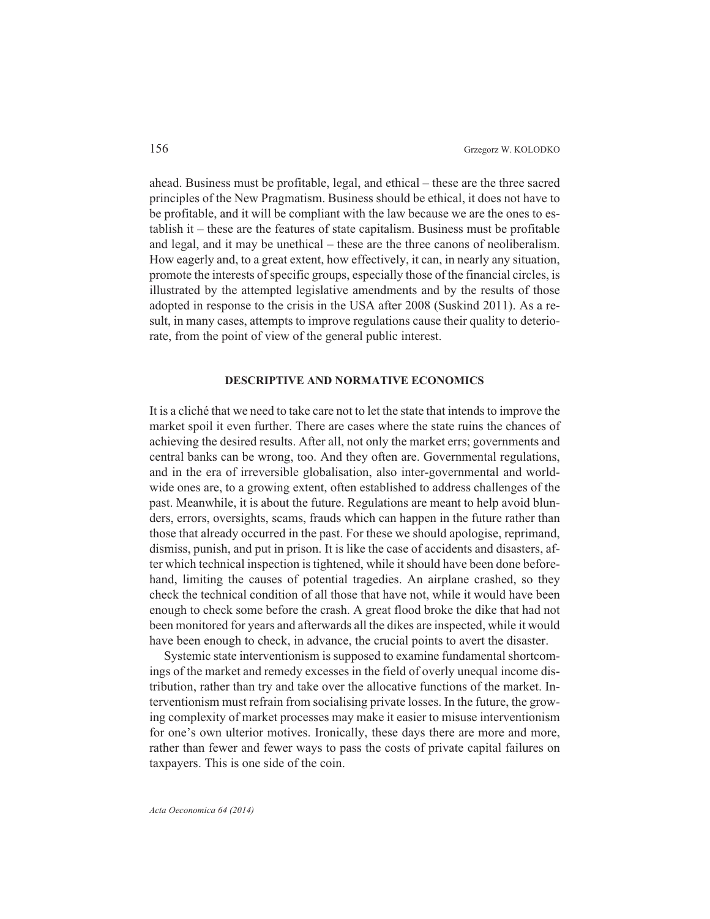ahead. Business must be profitable, legal, and ethical – these are the three sacred principles of the New Pragmatism. Business should be ethical, it does not have to be profitable, and it will be compliant with the law because we are the ones to establish it – these are the features of state capitalism. Business must be profitable and legal, and it may be unethical – these are the three canons of neoliberalism. How eagerly and, to a great extent, how effectively, it can, in nearly any situation, promote the interests of specific groups, especially those of the financial circles, is illustrated by the attempted legislative amendments and by the results of those adopted in response to the crisis in the USA after 2008 (Suskind 2011). As a result, in many cases, attempts to improve regulations cause their quality to deteriorate, from the point of view of the general public interest.

#### **DESCRIPTIVE AND NORMATIVE ECONOMICS**

It is a cliché that we need to take care not to let the state that intends to improve the market spoil it even further. There are cases where the state ruins the chances of achieving the desired results. After all, not only the market errs; governments and central banks can be wrong, too. And they often are. Governmental regulations, and in the era of irreversible globalisation, also inter-governmental and worldwide ones are, to a growing extent, often established to address challenges of the past. Meanwhile, it is about the future. Regulations are meant to help avoid blunders, errors, oversights, scams, frauds which can happen in the future rather than those that already occurred in the past. For these we should apologise, reprimand, dismiss, punish, and put in prison. It is like the case of accidents and disasters, after which technical inspection is tightened, while it should have been done beforehand, limiting the causes of potential tragedies. An airplane crashed, so they check the technical condition of all those that have not, while it would have been enough to check some before the crash. A great flood broke the dike that had not been monitored for years and afterwards all the dikes are inspected, while it would have been enough to check, in advance, the crucial points to avert the disaster.

Systemic state interventionism is supposed to examine fundamental shortcomings of the market and remedy excesses in the field of overly unequal income distribution, rather than try and take over the allocative functions of the market. Interventionism must refrain from socialising private losses. In the future, the growing complexity of market processes may make it easier to misuse interventionism for one's own ulterior motives. Ironically, these days there are more and more, rather than fewer and fewer ways to pass the costs of private capital failures on taxpayers. This is one side of the coin.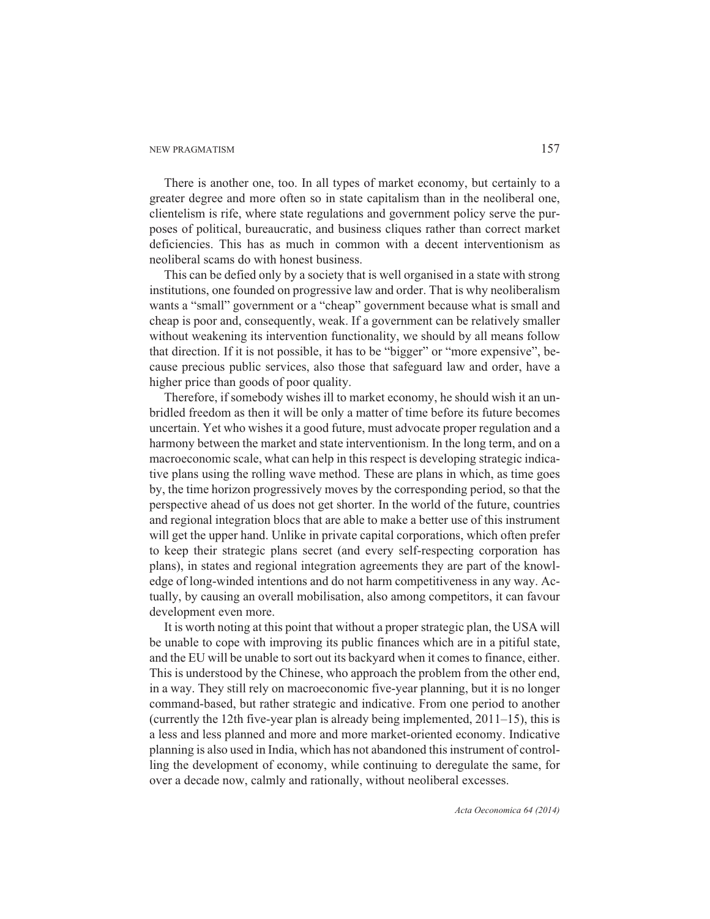There is another one, too. In all types of market economy, but certainly to a greater degree and more often so in state capitalism than in the neoliberal one, clientelism is rife, where state regulations and government policy serve the purposes of political, bureaucratic, and business cliques rather than correct market deficiencies. This has as much in common with a decent interventionism as neoliberal scams do with honest business.

This can be defied only by a society that is well organised in a state with strong institutions, one founded on progressive law and order. That is why neoliberalism wants a "small" government or a "cheap" government because what is small and cheap is poor and, consequently, weak. If a government can be relatively smaller without weakening its intervention functionality, we should by all means follow that direction. If it is not possible, it has to be "bigger" or "more expensive", because precious public services, also those that safeguard law and order, have a higher price than goods of poor quality.

Therefore, if somebody wishes ill to market economy, he should wish it an unbridled freedom as then it will be only a matter of time before its future becomes uncertain. Yet who wishes it a good future, must advocate proper regulation and a harmony between the market and state interventionism. In the long term, and on a macroeconomic scale, what can help in this respect is developing strategic indicative plans using the rolling wave method. These are plans in which, as time goes by, the time horizon progressively moves by the corresponding period, so that the perspective ahead of us does not get shorter. In the world of the future, countries and regional integration blocs that are able to make a better use of this instrument will get the upper hand. Unlike in private capital corporations, which often prefer to keep their strategic plans secret (and every self-respecting corporation has plans), in states and regional integration agreements they are part of the knowledge of long-winded intentions and do not harm competitiveness in any way. Actually, by causing an overall mobilisation, also among competitors, it can favour development even more.

It is worth noting at this point that without a proper strategic plan, the USA will be unable to cope with improving its public finances which are in a pitiful state, and the EU will be unable to sort out its backyard when it comes to finance, either. This is understood by the Chinese, who approach the problem from the other end, in a way. They still rely on macroeconomic five-year planning, but it is no longer command-based, but rather strategic and indicative. From one period to another (currently the 12th five-year plan is already being implemented, 2011–15), this is a less and less planned and more and more market-oriented economy. Indicative planning is also used in India, which has not abandoned this instrument of controlling the development of economy, while continuing to deregulate the same, for over a decade now, calmly and rationally, without neoliberal excesses.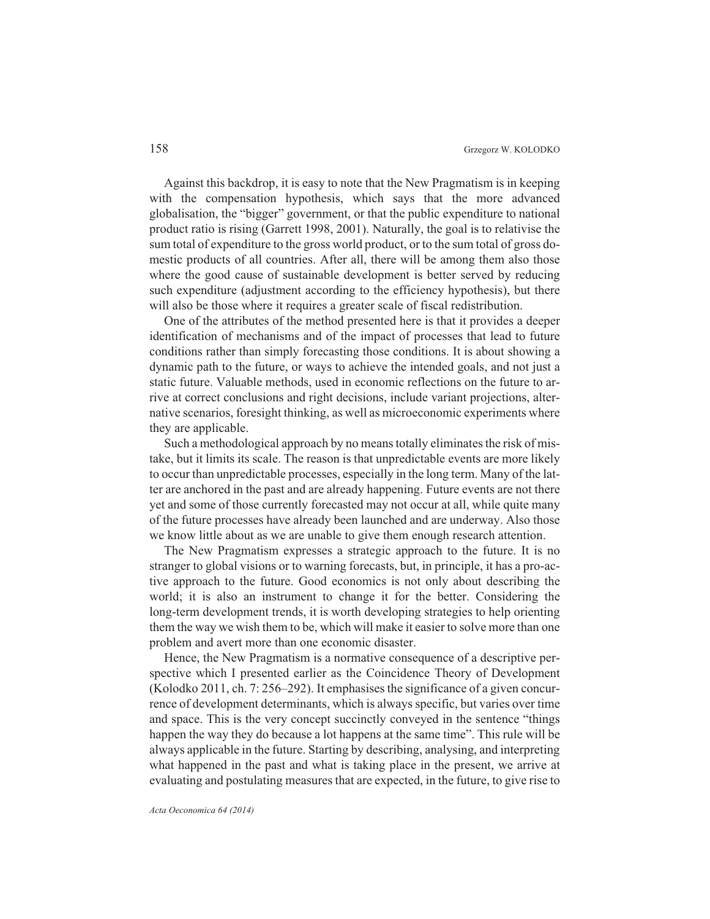Against this backdrop, it is easy to note that the New Pragmatism is in keeping with the compensation hypothesis, which says that the more advanced globalisation, the "bigger" government, or that the public expenditure to national product ratio is rising (Garrett 1998, 2001). Naturally, the goal is to relativise the sum total of expenditure to the gross world product, or to the sum total of gross domestic products of all countries. After all, there will be among them also those where the good cause of sustainable development is better served by reducing such expenditure (adjustment according to the efficiency hypothesis), but there will also be those where it requires a greater scale of fiscal redistribution.

One of the attributes of the method presented here is that it provides a deeper identification of mechanisms and of the impact of processes that lead to future conditions rather than simply forecasting those conditions. It is about showing a dynamic path to the future, or ways to achieve the intended goals, and not just a static future. Valuable methods, used in economic reflections on the future to arrive at correct conclusions and right decisions, include variant projections, alternative scenarios, foresight thinking, as well as microeconomic experiments where they are applicable.

Such a methodological approach by no means totally eliminates the risk of mistake, but it limits its scale. The reason is that unpredictable events are more likely to occur than unpredictable processes, especially in the long term. Many of the latter are anchored in the past and are already happening. Future events are not there yet and some of those currently forecasted may not occur at all, while quite many of the future processes have already been launched and are underway. Also those we know little about as we are unable to give them enough research attention.

The New Pragmatism expresses a strategic approach to the future. It is no stranger to global visions or to warning forecasts, but, in principle, it has a pro-active approach to the future. Good economics is not only about describing the world; it is also an instrument to change it for the better. Considering the long-term development trends, it is worth developing strategies to help orienting them the way we wish them to be, which will make it easier to solve more than one problem and avert more than one economic disaster.

Hence, the New Pragmatism is a normative consequence of a descriptive perspective which I presented earlier as the Coincidence Theory of Development (Kolodko 2011, ch. 7: 256–292). It emphasises the significance of a given concurrence of development determinants, which is always specific, but varies over time and space. This is the very concept succinctly conveyed in the sentence "things happen the way they do because a lot happens at the same time". This rule will be always applicable in the future. Starting by describing, analysing, and interpreting what happened in the past and what is taking place in the present, we arrive at evaluating and postulating measures that are expected, in the future, to give rise to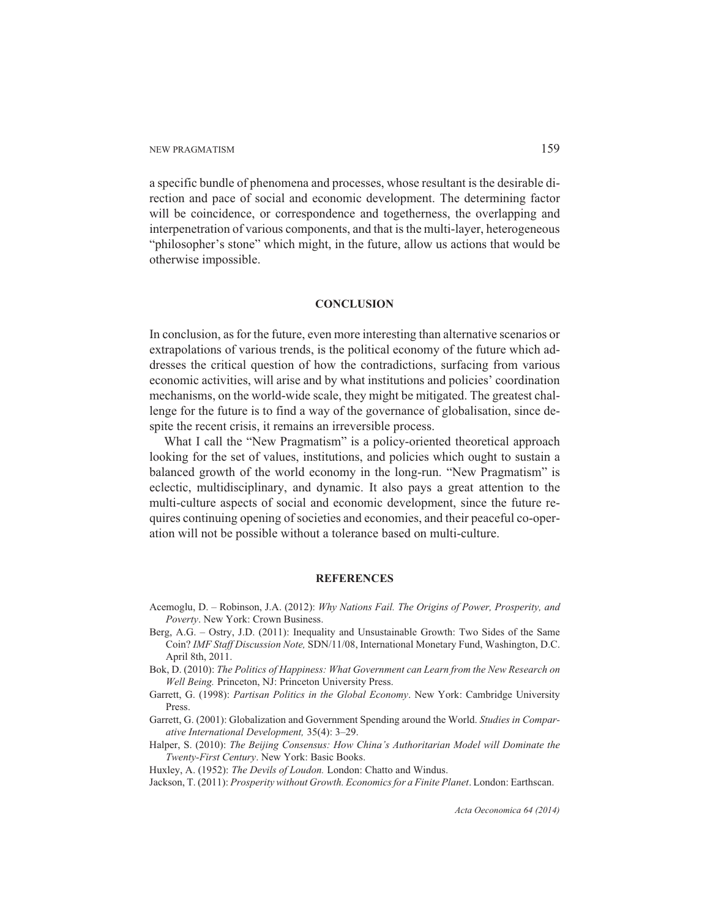a specific bundle of phenomena and processes, whose resultant is the desirable direction and pace of social and economic development. The determining factor will be coincidence, or correspondence and togetherness, the overlapping and interpenetration of various components, and that is the multi-layer, heterogeneous "philosopher's stone" which might, in the future, allow us actions that would be otherwise impossible.

#### **CONCLUSION**

In conclusion, as for the future, even more interesting than alternative scenarios or extrapolations of various trends, is the political economy of the future which addresses the critical question of how the contradictions, surfacing from various economic activities, will arise and by what institutions and policies' coordination mechanisms, on the world-wide scale, they might be mitigated. The greatest challenge for the future is to find a way of the governance of globalisation, since despite the recent crisis, it remains an irreversible process.

What I call the "New Pragmatism" is a policy-oriented theoretical approach looking for the set of values, institutions, and policies which ought to sustain a balanced growth of the world economy in the long-run. "New Pragmatism" is eclectic, multidisciplinary, and dynamic. It also pays a great attention to the multi-culture aspects of social and economic development, since the future requires continuing opening of societies and economies, and their peaceful co-operation will not be possible without a tolerance based on multi-culture.

#### **REFERENCES**

- Acemoglu, D. Robinson, J.A. (2012): *Why Nations Fail. The Origins of Power, Prosperity, and Poverty*. New York: Crown Business.
- Berg, A.G. Ostry, J.D. (2011): Inequality and Unsustainable Growth: Two Sides of the Same Coin? *IMF Staff Discussion Note,* SDN/11/08, International Monetary Fund, Washington, D.C. April 8th, 2011.
- Bok, D. (2010): *The Politics of Happiness: What Government can Learn from the New Research on Well Being.* Princeton, NJ: Princeton University Press.
- Garrett, G. (1998): *Partisan Politics in the Global Economy*. New York: Cambridge University Press.
- Garrett, G. (2001): Globalization and Government Spending around the World. *Studies in Comparative International Development,* 35(4): 3–29.
- Halper, S. (2010): *The Beijing Consensus: How China's Authoritarian Model will Dominate the Twenty-First Century*. New York: Basic Books.

Huxley, A. (1952): *The Devils of Loudon.* London: Chatto and Windus.

Jackson, T. (2011): *Prosperity without Growth. Economics for a Finite Planet*. London: Earthscan.